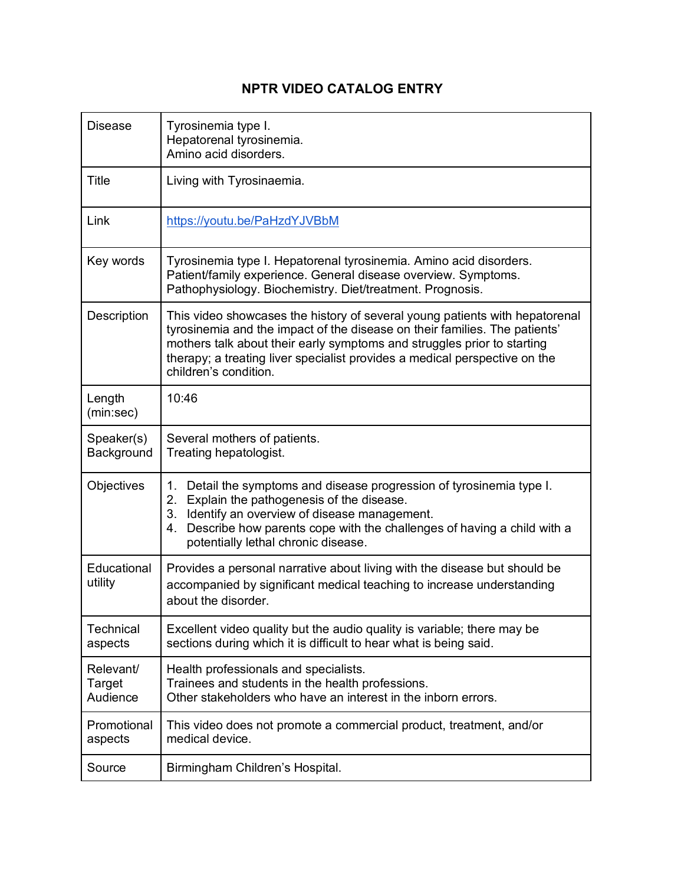## **NPTR VIDEO CATALOG ENTRY**

| <b>Disease</b>                  | Tyrosinemia type I.<br>Hepatorenal tyrosinemia.<br>Amino acid disorders.                                                                                                                                                                                                                                                                    |  |  |  |  |
|---------------------------------|---------------------------------------------------------------------------------------------------------------------------------------------------------------------------------------------------------------------------------------------------------------------------------------------------------------------------------------------|--|--|--|--|
| <b>Title</b>                    | Living with Tyrosinaemia.                                                                                                                                                                                                                                                                                                                   |  |  |  |  |
| Link                            | https://youtu.be/PaHzdYJVBbM                                                                                                                                                                                                                                                                                                                |  |  |  |  |
| Key words                       | Tyrosinemia type I. Hepatorenal tyrosinemia. Amino acid disorders.<br>Patient/family experience. General disease overview. Symptoms.<br>Pathophysiology. Biochemistry. Diet/treatment. Prognosis.                                                                                                                                           |  |  |  |  |
| Description                     | This video showcases the history of several young patients with hepatorenal<br>tyrosinemia and the impact of the disease on their families. The patients'<br>mothers talk about their early symptoms and struggles prior to starting<br>therapy; a treating liver specialist provides a medical perspective on the<br>children's condition. |  |  |  |  |
| Length<br>(min:sec)             | 10:46                                                                                                                                                                                                                                                                                                                                       |  |  |  |  |
| Speaker(s)<br>Background        | Several mothers of patients.<br>Treating hepatologist.                                                                                                                                                                                                                                                                                      |  |  |  |  |
| Objectives                      | 1. Detail the symptoms and disease progression of tyrosinemia type I.<br>2. Explain the pathogenesis of the disease.<br>3. Identify an overview of disease management.<br>Describe how parents cope with the challenges of having a child with a<br>4.<br>potentially lethal chronic disease.                                               |  |  |  |  |
| Educational<br>utility          | Provides a personal narrative about living with the disease but should be<br>accompanied by significant medical teaching to increase understanding<br>about the disorder.                                                                                                                                                                   |  |  |  |  |
| Technical<br>aspects            | Excellent video quality but the audio quality is variable; there may be<br>sections during which it is difficult to hear what is being said.                                                                                                                                                                                                |  |  |  |  |
| Relevant/<br>Target<br>Audience | Health professionals and specialists.<br>Trainees and students in the health professions.<br>Other stakeholders who have an interest in the inborn errors.                                                                                                                                                                                  |  |  |  |  |
| Promotional<br>aspects          | This video does not promote a commercial product, treatment, and/or<br>medical device.                                                                                                                                                                                                                                                      |  |  |  |  |
| Source                          | Birmingham Children's Hospital.                                                                                                                                                                                                                                                                                                             |  |  |  |  |